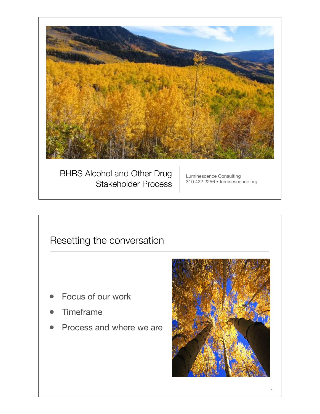

# Resetting the conversation

- Focus of our work
- **Timeframe**
- Process and where we are

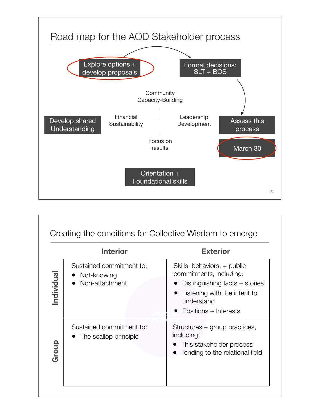

|          | <b>Interior</b>                                           | <b>Exterior</b>                                                                                                                                                 |
|----------|-----------------------------------------------------------|-----------------------------------------------------------------------------------------------------------------------------------------------------------------|
| ndividua | Sustained commitment to:<br>Not-knowing<br>Non-attachment | Skills, behaviors, + public<br>commitments, including:<br>Distinguishing facts + stories<br>Listening with the intent to<br>understand<br>Positions + Interests |
| Group    | Sustained commitment to:<br>The scallop principle         | Structures + group practices,<br>including:<br>This stakeholder process<br>Tending to the relational field                                                      |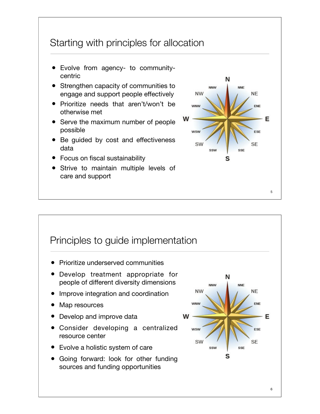# Starting with principles for allocation

- Evolve from agency- to communitycentric
- Strengthen capacity of communities to engage and support people effectively
- Prioritize needs that aren't/won't be otherwise met
- Serve the maximum number of people possible
- Be guided by cost and effectiveness data
- Focus on fiscal sustainability
- Strive to maintain multiple levels of care and support

![](_page_2_Figure_8.jpeg)

# Principles to guide implementation

- Prioritize underserved communities
- Develop treatment appropriate for people of different diversity dimensions
- Improve integration and coordination
- Map resources
- Develop and improve data
- Consider developing a centralized resource center
- Evolve a holistic system of care
- Going forward: look for other funding sources and funding opportunities

![](_page_2_Figure_18.jpeg)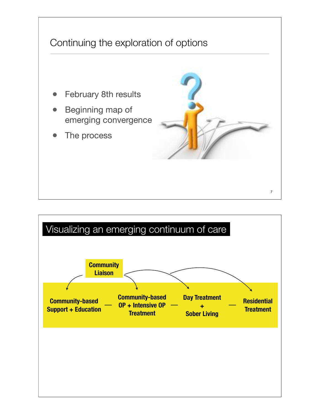![](_page_3_Figure_0.jpeg)

![](_page_3_Figure_1.jpeg)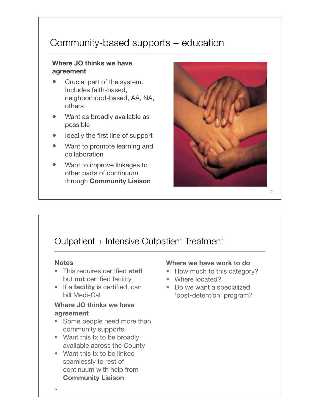# Community-based supports + education

## **Where JO thinks we have agreement**

- Crucial part of the system. Includes faith-based, neighborhood-based, AA, NA, others
- Want as broadly available as possible
- Ideally the first line of support
- Want to promote learning and collaboration
- Want to improve linkages to other parts of continuum through **Community Liaison**

![](_page_4_Picture_7.jpeg)

9

# Outpatient + Intensive Outpatient Treatment

#### **Notes**

- This requires certified **staff**  but **not** certified facility
- If a **facility** is certified, can bill Medi-Cal

## **Where JO thinks we have agreement**

- Some people need more than community supports
- Want this tx to be broadly available across the County
- Want this tx to be linked seamlessly to rest of continuum with help from **Community Liaison**

## **Where we have work to do**

- How much to this category?
- Where located?
- Do we want a specialized 'post-detention' program?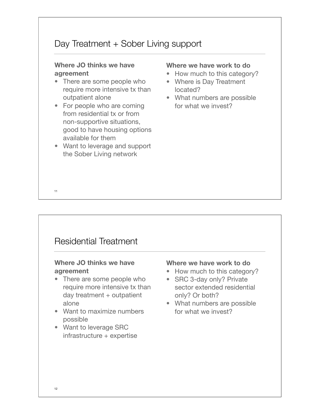# Day Treatment + Sober Living support

#### **Where JO thinks we have agreement**

- There are some people who require more intensive tx than outpatient alone
- For people who are coming from residential tx or from non-supportive situations, good to have housing options available for them
- Want to leverage and support the Sober Living network

#### **Where we have work to do**

- How much to this category?
- Where is Day Treatment located?
- What numbers are possible for what we invest?

## Residential Treatment

### **Where JO thinks we have agreement**

- There are some people who require more intensive tx than day treatment  $+$  outpatient alone
- Want to maximize numbers possible
- Want to leverage SRC  $infrastructure +$  expertise

#### **Where we have work to do**

- How much to this category?
- SRC 3-day only? Private sector extended residential only? Or both?
- What numbers are possible for what we invest?

11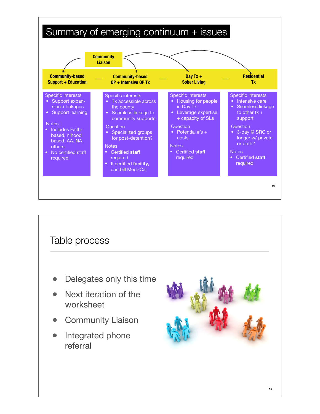![](_page_6_Figure_0.jpeg)

![](_page_6_Picture_1.jpeg)